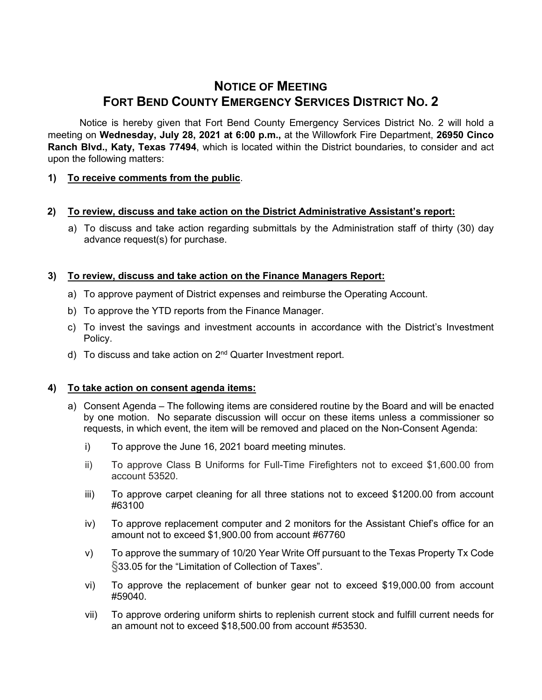# **NOTICE OF MEETING FORT BEND COUNTY EMERGENCY SERVICES DISTRICT NO. 2**

Notice is hereby given that Fort Bend County Emergency Services District No. 2 will hold a meeting on **Wednesday, July 28, 2021 at 6:00 p.m.,** at the Willowfork Fire Department, **26950 Cinco Ranch Blvd., Katy, Texas 77494**, which is located within the District boundaries, to consider and act upon the following matters:

## **1) To receive comments from the public**.

## **2) To review, discuss and take action on the District Administrative Assistant's report:**

a) To discuss and take action regarding submittals by the Administration staff of thirty (30) day advance request(s) for purchase.

## **3) To review, discuss and take action on the Finance Managers Report:**

- a) To approve payment of District expenses and reimburse the Operating Account.
- b) To approve the YTD reports from the Finance Manager.
- c) To invest the savings and investment accounts in accordance with the District's Investment Policy.
- d) To discuss and take action on 2<sup>nd</sup> Quarter Investment report.

## **4) To take action on consent agenda items:**

- a) Consent Agenda The following items are considered routine by the Board and will be enacted by one motion. No separate discussion will occur on these items unless a commissioner so requests, in which event, the item will be removed and placed on the Non-Consent Agenda:
	- i) To approve the June 16, 2021 board meeting minutes.
	- ii) To approve Class B Uniforms for Full-Time Firefighters not to exceed \$1,600.00 from account 53520.
	- iii) To approve carpet cleaning for all three stations not to exceed \$1200.00 from account #63100
	- iv) To approve replacement computer and 2 monitors for the Assistant Chief's office for an amount not to exceed \$1,900.00 from account #67760
	- v) To approve the summary of 10/20 Year Write Off pursuant to the Texas Property Tx Code §33.05 for the "Limitation of Collection of Taxes".
	- vi) To approve the replacement of bunker gear not to exceed \$19,000.00 from account #59040.
	- vii) To approve ordering uniform shirts to replenish current stock and fulfill current needs for an amount not to exceed \$18,500.00 from account #53530.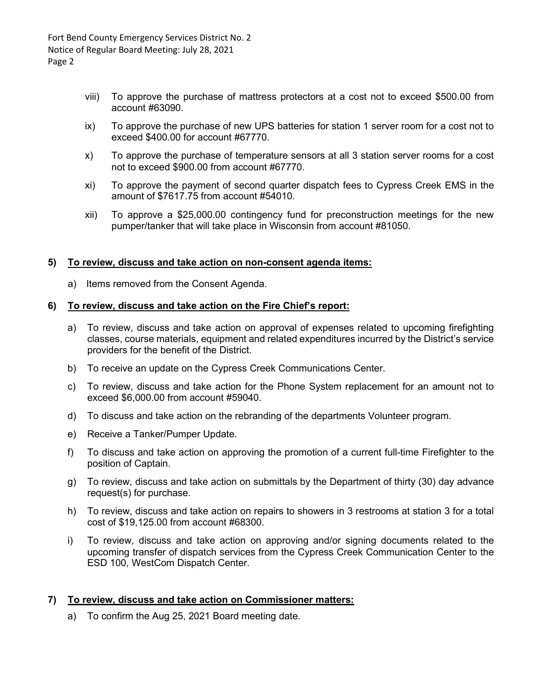Fort Bend County Emergency Services District No. 2 Notice of Regular Board Meeting: July 28, 2021 Page 2

- viii) To approve the purchase of mattress protectors at a cost not to exceed \$500.00 from account #63090.
- ix) To approve the purchase of new UPS batteries for station 1 server room for a cost not to exceed \$400.00 for account #67770.
- x) To approve the purchase of temperature sensors at all 3 station server rooms for a cost not to exceed \$900.00 from account #67770.
- xi) To approve the payment of second quarter dispatch fees to Cypress Creek EMS in the amount of \$7617.75 from account #54010.
- xii) To approve a \$25,000.00 contingency fund for preconstruction meetings for the new pumper/tanker that will take place in Wisconsin from account #81050.

#### **5) To review, discuss and take action on non-consent agenda items:**

a) Items removed from the Consent Agenda.

### **6) To review, discuss and take action on the Fire Chief's report:**

- a) To review, discuss and take action on approval of expenses related to upcoming firefighting classes, course materials, equipment and related expenditures incurred by the District's service providers for the benefit of the District.
- b) To receive an update on the Cypress Creek Communications Center.
- c) To review, discuss and take action for the Phone System replacement for an amount not to exceed \$6,000.00 from account #59040.
- d) To discuss and take action on the rebranding of the departments Volunteer program.
- e) Receive a Tanker/Pumper Update.
- f) To discuss and take action on approving the promotion of a current full-time Firefighter to the position of Captain.
- g) To review, discuss and take action on submittals by the Department of thirty (30) day advance request(s) for purchase.
- h) To review, discuss and take action on repairs to showers in 3 restrooms at station 3 for a total cost of \$19,125.00 from account #68300.
- i) To review, discuss and take action on approving and/or signing documents related to the upcoming transfer of dispatch services from the Cypress Creek Communication Center to the ESD 100, WestCom Dispatch Center.

## **7) To review, discuss and take action on Commissioner matters:**

a) To confirm the Aug 25, 2021 Board meeting date.